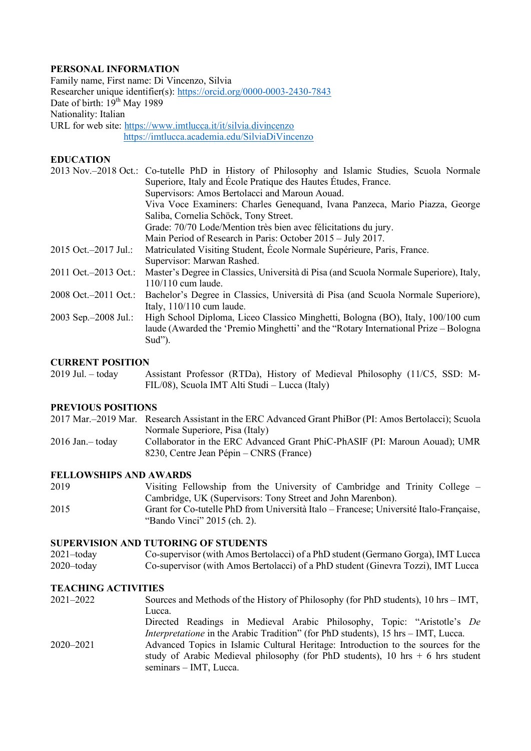# **PERSONAL INFORMATION**

Family name, First name: Di Vincenzo, Silvia Researcher unique identifier(s)[: https://orcid.org/0000-0003-2430-7843](https://orcid.org/0000-0003-2430-7843) Date of birth:  $19^{th}$  May 1989 Nationality: Italian URL for web site:<https://www.imtlucca.it/it/silvia.divincenzo> <https://imtlucca.academia.edu/SilviaDiVincenzo>

### **EDUCATION**

|                           | 2013 Nov.-2018 Oct.: Co-tutelle PhD in History of Philosophy and Islamic Studies, Scuola Normale |
|---------------------------|--------------------------------------------------------------------------------------------------|
|                           | Superiore, Italy and École Pratique des Hautes Études, France.                                   |
|                           | Supervisors: Amos Bertolacci and Maroun Aouad.                                                   |
|                           | Viva Voce Examiners: Charles Genequand, Ivana Panzeca, Mario Piazza, George                      |
|                           | Saliba, Cornelia Schöck, Tony Street.                                                            |
|                           | Grade: 70/70 Lode/Mention très bien avec félicitations du jury.                                  |
|                           | Main Period of Research in Paris: October 2015 – July 2017.                                      |
| 2015 Oct. - 2017 Jul.:    | Matriculated Visiting Student, École Normale Supérieure, Paris, France.                          |
|                           | Supervisor: Marwan Rashed.                                                                       |
| 2011 Oct. - 2013 Oct.:    | Master's Degree in Classics, Università di Pisa (and Scuola Normale Superiore), Italy,           |
|                           | $110/110$ cum laude.                                                                             |
| 2008 Oct. - 2011 Oct.:    | Bachelor's Degree in Classics, Università di Pisa (and Scuola Normale Superiore),                |
|                           | Italy, 110/110 cum laude.                                                                        |
| $2003$ Sep. $-2008$ Jul.: | High School Diploma, Liceo Classico Minghetti, Bologna (BO), Italy, 100/100 cum                  |
|                           | laude (Awarded the 'Premio Minghetti' and the "Rotary International Prize – Bologna              |
|                           | Sud").                                                                                           |
|                           |                                                                                                  |

### **CURRENT POSITION**

2019 Jul. – today Assistant Professor (RTDa), History of Medieval Philosophy (11/C5, SSD: M-FIL/08), Scuola IMT Alti Studi – Lucca (Italy)

# **PREVIOUS POSITIONS**

|                  | 2017 Mar.–2019 Mar. Research Assistant in the ERC Advanced Grant PhiBor (PI: Amos Bertolacci); Scuola |
|------------------|-------------------------------------------------------------------------------------------------------|
|                  | Normale Superiore, Pisa (Italy)                                                                       |
| 2016 Jan.- today | Collaborator in the ERC Advanced Grant PhiC-PhASIF (PI: Maroun Aouad); UMR                            |
|                  | 8230, Centre Jean Pépin – CNRS (France)                                                               |

#### **FELLOWSHIPS AND AWARDS**

| 2019 | Visiting Fellowship from the University of Cambridge and Trinity College $-$           |
|------|----------------------------------------------------------------------------------------|
|      | Cambridge, UK (Supervisors: Tony Street and John Marenbon).                            |
| 2015 | Grant for Co-tutelle PhD from Università Italo – Francese; Université Italo-Francaise, |
|      | "Bando Vinci" 2015 (ch. 2).                                                            |

# **SUPERVISION AND TUTORING OF STUDENTS**

2021–today Co-supervisor (with Amos Bertolacci) of a PhD student (Germano Gorga), IMT Lucca 2020–today Co-supervisor (with Amos Bertolacci) of a PhD student (Ginevra Tozzi), IMT Lucca

# **TEACHING ACTIVITIES**

| 2021–2022 | Sources and Methods of the History of Philosophy (for PhD students), $10 \text{ hrs} - \text{IMT}$ ,       |
|-----------|------------------------------------------------------------------------------------------------------------|
|           | Lucca.                                                                                                     |
|           | Directed Readings in Medieval Arabic Philosophy, Topic: "Aristotle's De                                    |
|           | <i>Interpretatione</i> in the Arabic Tradition" (for PhD students), 15 hrs – IMT, Lucca.                   |
| 2020-2021 | Advanced Topics in Islamic Cultural Heritage: Introduction to the sources for the                          |
|           | study of Arabic Medieval philosophy (for PhD students), 10 hrs $+$ 6 hrs student<br>seminars – IMT, Lucca. |
|           |                                                                                                            |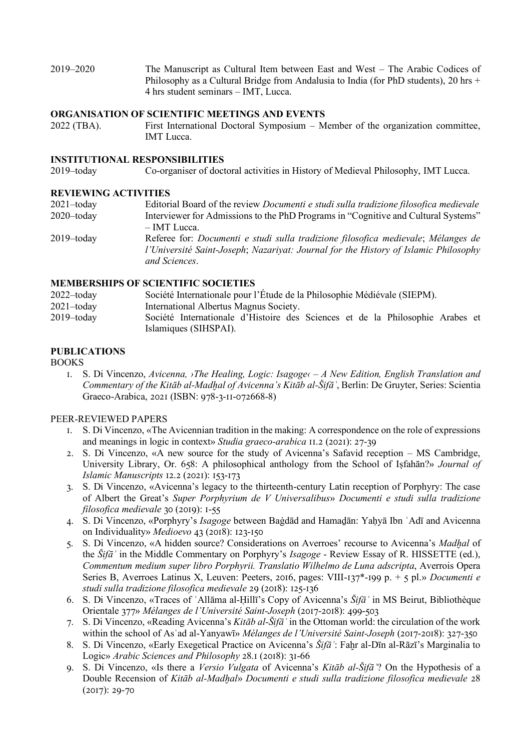2019–2020 The Manuscript as Cultural Item between East and West – The Arabic Codices of Philosophy as a Cultural Bridge from Andalusia to India (for PhD students), 20 hrs + 4 hrs student seminars – IMT, Lucca.

# **ORGANISATION OF SCIENTIFIC MEETINGS AND EVENTS**

2022 (TBA). First International Doctoral Symposium – Member of the organization committee, IMT Lucca.

# **INSTITUTIONAL RESPONSIBILITIES**

2019–today Co-organiser of doctoral activities in History of Medieval Philosophy, IMT Lucca.

#### **REVIEWING ACTIVITIES**

| 2021-today | Editorial Board of the review <i>Documenti e studi sulla tradizione filosofica medievale</i> |
|------------|----------------------------------------------------------------------------------------------|
| 2020-today | Interviewer for Admissions to the PhD Programs in "Cognitive and Cultural Systems"           |
|            | – IMT Lucca.                                                                                 |
| 2019–today | Referee for: Documenti e studi sulla tradizione filosofica medievale; Mélanges de            |
|            | l'Université Saint-Joseph; Nazariyat: Journal for the History of Islamic Philosophy          |
|            | and Sciences.                                                                                |

#### **MEMBERSHIPS OF SCIENTIFIC SOCIETIES**

| $2022 -$ today | Société Internationale pour l'Étude de la Philosophie Médiévale (SIEPM).                               |
|----------------|--------------------------------------------------------------------------------------------------------|
| $2021 -$ today | International Albertus Magnus Society.                                                                 |
| $2019 -$ today | Société Internationale d'Histoire des Sciences et de la Philosophie Arabes et<br>Islamiques (SIHSPAI). |

# **PUBLICATIONS**

BOOKS

1. S. Di Vincenzo, *Avicenna, ›The Healing, Logic: Isagoge‹ – A New Edition, English Translation and Commentary of the Kitāb al-Madḫal of Avicenna's Kitāb al-Šifāʾ*, Berlin: De Gruyter, Series: Scientia Graeco-Arabica, 2021 (ISBN: 978-3-11-072668-8)

### PEER-REVIEWED PAPERS

- 1. S. Di Vincenzo, «The Avicennian tradition in the making: A correspondence on the role of expressions and meanings in logic in context» *Studia graeco-arabica* 11.2 (2021): 27-39
- 2. S. Di Vincenzo, «A new source for the study of Avicenna's Safavid reception MS Cambridge, University Library, Or. 658: A philosophical anthology from the School of Iṣfahān?» *Journal of Islamic Manuscripts* 12.2 (2021): 153-173
- 3. S. Di Vincenzo, «Avicenna's legacy to the thirteenth-century Latin reception of Porphyry: The case of Albert the Great's *Super Porphyrium de V Universalibus*» *Documenti e studi sulla tradizione filosofica medievale* 30 (2019): 1-55
- 4. S. Di Vincenzo, «Porphyry's *Isagoge* between Baġdād and Hamaḏān: Yaḥyā Ibn ʿAdī and Avicenna on Individuality» *Medioevo* 43 (2018): 123-150
- 5. S. Di Vincenzo, «A hidden source? Considerations on Averroes' recourse to Avicenna's *Madḫal* of the *Šifāʾ* in the Middle Commentary on Porphyry's *Isagoge* - Review Essay of R. HISSETTE (ed.), *Commentum medium super libro Porphyrii. Translatio Wilhelmo de Luna adscripta*, Averrois Opera Series B, Averroes Latinus X, Leuven: Peeters, 2016, pages: VIII-137\*-199 p. + 5 pl.» *Documenti e studi sulla tradizione filosofica medievale* 29 (2018): 125-136
- 6. S. Di Vincenzo, «Traces of ʿAllāma al-Ḥillī's Copy of Avicenna's *Šifāʾ* in MS Beirut, Bibliothèque Orientale 377» *Mélanges de l'Université Saint-Joseph* (2017-2018): 499-503
- 7. S. Di Vincenzo, «Reading Avicenna's *Kitāb al-Šifāʾ* in the Ottoman world: the circulation of the work within the school of Asʿad al-Yanyawī» *Mélanges de l'Université Saint-Joseph* (2017-2018): 327-350
- 8. S. Di Vincenzo, «Early Exegetical Practice on Avicenna's *Šifāʾ*: Faḫr al-Dīn al-Rāzī's Marginalia to Logic» *Arabic Sciences and Philosophy* 28.1 (2018): 31-66
- 9. S. Di Vincenzo, «Is there a *Versio Vulgata* of Avicenna's *Kitāb al-Šifāʾ*? On the Hypothesis of a Double Recension of *Kitāb al-Madḫal*» *Documenti e studi sulla tradizione filosofica medievale* 28 (2017): 29-70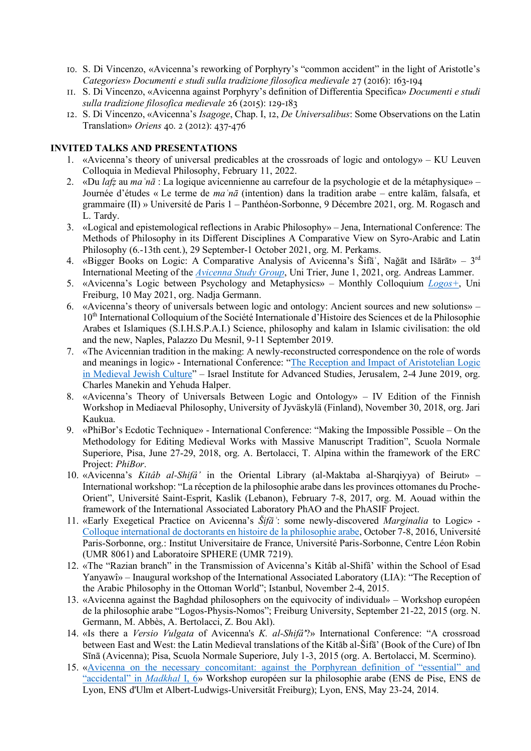- 10. S. Di Vincenzo, «Avicenna's reworking of Porphyry's "common accident" in the light of Aristotle's *Categories*» *Documenti e studi sulla tradizione filosofica medievale* 27 (2016): 163-194
- 11. S. Di Vincenzo, «Avicenna against Porphyry's definition of Differentia Specifica» *Documenti e studi sulla tradizione filosofica medievale* 26 (2015): 129-183
- 12. S. Di Vincenzo, «Avicenna's *Isagoge*, Chap. I, 12, *De Universalibus*: Some Observations on the Latin Translation» *Oriens* 40. 2 (2012): 437-476

# **INVITED TALKS AND PRESENTATIONS**

- 1. «Avicenna's theory of universal predicables at the crossroads of logic and ontology» KU Leuven Colloquia in Medieval Philosophy, February 11, 2022.
- 2. «Du *lafẓ* au *maʿnā* : La logique avicennienne au carrefour de la psychologie et de la métaphysique» Journée d'études « Le terme de *maʿnā* (intention) dans la tradition arabe – entre kalām, falsafa, et grammaire (II) » Université de Paris 1 – Panthéon-Sorbonne, 9 Décembre 2021, org. M. Rogasch and L. Tardy.
- 3. «Logical and epistemological reflections in Arabic Philosophy» Jena, International Conference: The Methods of Philosophy in its Different Disciplines A Comparative View on Syro-Arabic and Latin Philosophy (6.-13th cent.), 29 September-1 October 2021, org. M. Perkams.
- 4. «Bigger Books on Logic: A Comparative Analysis of Avicenna's Šifā', Naǧāt and Išārāt» 3<sup>rd</sup> International Meeting of the *[Avicenna Study Group](http://www.arabic-philosophy.com/wp-content/uploads/2021/05/Avicenna_Study_Group_III_Trier_2021_Surveying_the_summae_Booklet.pdf)*, Uni Trier, June 1, 2021, org. Andreas Lammer.
- 5. «Avicenna's Logic between Psychology and Metaphysics» Monthly Colloquium *[Logos+](http://5.230.67.84/event/a-discipline-or-part-of-a-discipline-logic-between-metaphysics-and-psychology-in-avicennas-sifa%CA%BE-mad%E1%B8%ABal-i-4/)*, Uni Freiburg, 10 May 2021, org. Nadja Germann.
- 6. «Avicenna's theory of universals between logic and ontology: Ancient sources and new solutions» 10<sup>th</sup> International Colloquium of the Société Internationale d'Histoire des Sciences et de la Philosophie Arabes et Islamiques (S.I.H.S.P.A.I.) Science, philosophy and kalam in Islamic civilisation: the old and the new, Naples, Palazzo Du Mesnil, 9-11 September 2019.
- 7. «The Avicennian tradition in the making: A newly-reconstructed correspondence on the role of words and meanings in logic» - International Conference: "[The Reception and Impact of Aristotelian Logic](https://iias.huji.ac.il/event/aristotelian-logic-medieval-cultures-hebrew-arabic-and-latin-research-group-conference)  [in Medieval Jewish Culture](https://iias.huji.ac.il/event/aristotelian-logic-medieval-cultures-hebrew-arabic-and-latin-research-group-conference)" – Israel Institute for Advanced Studies, Jerusalem, 2-4 June 2019, org. Charles Manekin and Yehuda Halper.
- 8. «Avicenna's Theory of Universals Between Logic and Ontology» IV Edition of the Finnish Workshop in Mediaeval Philosophy, University of Jyväskylä (Finland), November 30, 2018, org. Jari Kaukua.
- 9. «PhiBor's Ecdotic Technique» International Conference: "Making the Impossible Possible On the Methodology for Editing Medieval Works with Massive Manuscript Tradition", Scuola Normale Superiore, Pisa, June 27-29, 2018, org. A. Bertolacci, T. Alpina within the framework of the ERC Project: *PhiBor*.
- 10. «Avicenna's *Kitâb al-Shifâ'* in the Oriental Library (al-Maktaba al-Sharqiyya) of Beirut» International workshop: "La réception de la philosophie arabe dans les provinces ottomanes du Proche-Orient", Université Saint-Esprit, Kaslik (Lebanon), February 7-8, 2017, org. M. Aouad within the framework of the International Associated Laboratory PhAO and the PhASIF Project.
- 11. «Early Exegetical Practice on Avicenna's *Šifāʾ*: some newly-discovered *Marginalia* to Logic» [Colloque international de doctorants en histoire de la philosophie arabe,](https://parimed.hypotheses.org/2232) October 7-8, 2016, Université Paris-Sorbonne, org.: Institut Universitaire de France, Université Paris-Sorbonne, Centre Léon Robin (UMR 8061) and Laboratoire SPHERE (UMR 7219).
- 12. «The "Razian branch" in the Transmission of Avicenna's Kitâb al-Shifâ' within the School of Esad Yanyawî» – Inaugural workshop of the International Associated Laboratory (LIA): "The Reception of the Arabic Philosophy in the Ottoman World"; Istanbul, November 2-4, 2015.
- 13. «Avicenna against the Baghdad philosophers on the equivocity of individual» Workshop européen de la philosophie arabe "Logos-Physis-Nomos"; Freiburg University, September 21-22, 2015 (org. N. Germann, M. Abbès, A. Bertolacci, Z. Bou Akl).
- 14. «Is there a *Versio Vulgata* of Avicenna's *K. al-Shifâ'*?» International Conference: "A crossroad between East and West: the Latin Medieval translations of the Kitāb al-Šifā' (Book of the Cure) of Ibn Sīnā (Avicenna); Pisa, Scuola Normale Superiore, July 1-3, 2015 (org. A. Bertolacci, M. Scermino).
- 15. «[Avicenna on the necessary concomitant: against the Porphyrean definition of "essential" and](http://www.academia.edu/3564321/Avicennas_Madkhal_of_the_Shifa_and_the_Greek_Commentaries_on_Porphyrys_Isagoge_Traces_of_Reception_of_the_Late_Antique_Tradition)  ["accidental" in](http://www.academia.edu/3564321/Avicennas_Madkhal_of_the_Shifa_and_the_Greek_Commentaries_on_Porphyrys_Isagoge_Traces_of_Reception_of_the_Late_Antique_Tradition) *Madkhal* I, 6» Workshop européen sur la philosophie arabe (ENS de Pise, ENS de Lyon, ENS d'Ulm et Albert-Ludwigs-Universität Freiburg); Lyon, ENS, May 23-24, 2014.